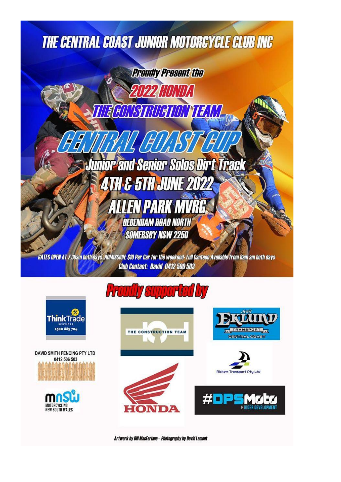# **THE CENTRAL COAST JUNIOR MOTORCYCLE CLUB INC**



GATES OPEN AT 7:30am both days ADMISSION: S10 Per Car for the weekend- Full Canteen Available from 8am am both days **Club Contact: David 0412 506 503** 

## **Proudly supported by**



**DAVID SMITH FENCING PTY LTD** 0412 506 503











Artwork by Bill MacFarlane - Photography by David Lamont

INDZ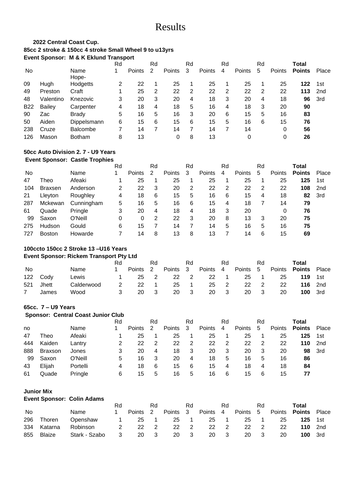## Results

## **2022 Central Coast Cup. 85cc 2 stroke & 150cc 4 stroke Small Wheel 9 to u13yrs Event Sponsor: M & K Eklund Transport**

|            |           |                 | Rd |               | Rd |        | Rd |               | Rd |        | Rd |        | Total         |                 |
|------------|-----------|-----------------|----|---------------|----|--------|----|---------------|----|--------|----|--------|---------------|-----------------|
| No.        |           | Name<br>Hope-   | 1  | <b>Points</b> | 2  | Points | 3  | <b>Points</b> | 4  | Points | 5  | Points | <b>Points</b> | Place           |
| 09         | Hugh      | Hodgetts        | 2  | 22            |    | 25     |    | 25            |    | 25     |    | 25     | 122           | 1st             |
| 49         | Preston   | Craft           |    | 25            | 2  | 22     | 2  | 22            | 2  | 22     | 2  | 22     | 113           | 2 <sub>nd</sub> |
| 48         | Valentino | Knezovic        | 3  | 20            | 3  | 20     | 4  | 18            | 3  | 20     | 4  | 18     | 96            | 3rd             |
| <b>B22</b> | Bailey    | Carpenter       | 4  | 18            | 4  | 18     | 5  | 16            | 4  | 18     | 3  | 20     | 90            |                 |
| 90         | Zac       | <b>Brady</b>    | 5  | 16            | 5  | 16     | 3  | 20            | 6  | 15     | 5  | 16     | 83            |                 |
| 50         | Aiden     | Dippelsmann     | 6  | 15            | 6  | 15     | 6  | 15            | 5  | 16     | 6  | 15     | 76            |                 |
| 238        | Cruze     | <b>Balcombe</b> |    | 14            | 7  | 14     |    | 14            | 7  | 14     |    | 0      | 56            |                 |
| 126        | Mason     | <b>Botham</b>   | 8  | 13            |    | 0      | 8  | 13            |    |        |    | 0      | 26            |                 |

#### **50cc Auto Division 2. 7 - U9 Years Event Sponsor: Castle Trophies**

|     |                |            | Rd |               | Rd |               | Rd |        | Rd |        | Rd |               | Total         |                 |
|-----|----------------|------------|----|---------------|----|---------------|----|--------|----|--------|----|---------------|---------------|-----------------|
| No  |                | Name       |    | <b>Points</b> | 2  | <b>Points</b> | 3  | Points | 4  | Points | 5  | <b>Points</b> | <b>Points</b> | Place           |
| 47  | Theo           | Afeaki     |    | 25            |    | 25            |    | 25     |    | 25     |    | 25            | 125           | 1st             |
| 104 | <b>Braxsen</b> | Anderson   | 2  | 22            | 3  | 20            | 2  | 22     | 2  | 22     | 2  | 22            | 108           | 2 <sub>nd</sub> |
| 21  | Llevton        | Roughley   | 4  | 18            | 6  | 15            | 5  | 16     | 6  | 15     | 4  | 18            | 82            | 3rd             |
| 287 | Mckewan        | Cunningham | 5  | 16            | 5  | 16            | 6  | 15     | 4  | 18     |    | 14            | 79            |                 |
| 61  | Quade          | Pringle    | 3  | 20            | 4  | 18            | 4  | 18     | 3  | 20     |    | 0             | 76            |                 |
| 99  | Saxon          | O'Neill    | 0  | 0             | 2  | 22            | 3  | 20     | 8  | 13     | 3  | 20            | 75            |                 |
| 275 | <b>Hudson</b>  | Gould      | 6  | 15            |    | 14            |    | 14     | 5  | 16     | 5  | 16            | 75            |                 |
| 727 | Boston         | Howarde    |    | 14            | 8  | 13            | 8  | 13     |    | 14     | 6  | 15            | 69            |                 |

## **100ccto 150cc 2 Stroke 13 –U16 Years**

#### **Event Sponsor: Rickem Transport Pty Ltd**

|     |       |            |   |        | Rd             |        | Rd                         |        | Rd             |        | Rd             |        | Total               |                |
|-----|-------|------------|---|--------|----------------|--------|----------------------------|--------|----------------|--------|----------------|--------|---------------------|----------------|
| No  |       | Name       |   | Points | $\overline{2}$ | Points | $\mathbf{3}$               | Points | 4              | Points | - 5            | Points | <b>Points</b> Place |                |
| 122 | Codv  | Lewis      |   | 25     | $\overline{2}$ | 22     | $\overline{\phantom{0}}^2$ | 22     | $\overline{1}$ | 25     |                | 25     | 119                 | 1st            |
| 521 | Jhett | Calderwood | 2 | 22     |                | 25     | $\blacksquare$             | 25     | -2             | 22     | $\overline{2}$ | 22     |                     | <b>116</b> 2nd |
|     | James | Wood       | 3 | 20     | - 3            | 20     | $\overline{\mathbf{3}}$    | 20     | - 3            | 20     | - 3            | 20     |                     | <b>100</b> 3rd |
|     |       |            |   |        |                |        |                            |        |                |        |                |        |                     |                |

### **65cc. 7 – U9 Years**

## **Sponsor: Central Coast Junior Club**

|     |                |          | Rd |               | Rd |               | Rd |        | Rd |               | Rd |               | Total         |       |
|-----|----------------|----------|----|---------------|----|---------------|----|--------|----|---------------|----|---------------|---------------|-------|
| no  |                | Name     |    | <b>Points</b> |    | <b>Points</b> | -3 | Points | 4  | <b>Points</b> | 5  | <b>Points</b> | <b>Points</b> | Place |
| 47  | Theo           | Afeaki   |    | 25            |    | 25            |    | 25     |    | 25            |    | 25            | 125           | 1st   |
| 444 | Kaiden         | Lantry   |    | 22            | 2  | 22            | -2 | 22     | 2  | 22            | 2  | 22            | 110           | 2nd   |
| 888 | <b>Braxson</b> | Jones    | 3  | 20            | 4  | 18            | 3  | 20     | 3  | 20            | 3  | 20            | 98            | 3rd   |
| 99  | Saxon          | O'Neill  | 5  | 16            | 3  | 20            | 4  | 18     | 5  | 16            | 5  | 16            | 86            |       |
| 43  | Elijah         | Portelli | 4  | 18            | 6  | 15            | 6  | 15     | 4  | 18            | 4  | 18            | 84            |       |
| 61  | Quade          | Pringle  | 6  | 15            | 5  | 16            | 5  | 16     | 6  | 15            | 6  | 15            | 77            |       |

#### **Junior Mix**

## **Event Sponsor: Colin Adams**

|           |         |               |          |          | Rd                         |           | Rd                      |          | Rd   |           | Rd                      |        | Total               |                |
|-----------|---------|---------------|----------|----------|----------------------------|-----------|-------------------------|----------|------|-----------|-------------------------|--------|---------------------|----------------|
| <b>No</b> |         | Name          |          | Points 2 |                            | Points    | $\overline{\mathbf{3}}$ | Points 4 |      | Points 5  |                         | Points | <b>Points</b> Place |                |
| 296       | Thoren  | Openshaw      | $\sim$ 1 | - 25     | $\sim$ 1 $\sim$            |           | 25 1                    |          | 25 1 | -25       | $\overline{1}$          | 25     | <b>125</b> 1st      |                |
| 334       | Katarna | Robinson      | 2        | -22      | $\overline{2}$             |           | 22 2                    |          | 22 2 | 22        | $\overline{2}$          | 22     |                     | <b>110</b> 2nd |
| 855       | Blaize  | Stark - Szabo | 3        | 20       | $\overline{\phantom{a}}$ 3 | <b>20</b> | 3 <sup>3</sup>          | 20       | - 3  | <b>20</b> | $\overline{\mathbf{3}}$ | 20     | 100                 | - 3rd          |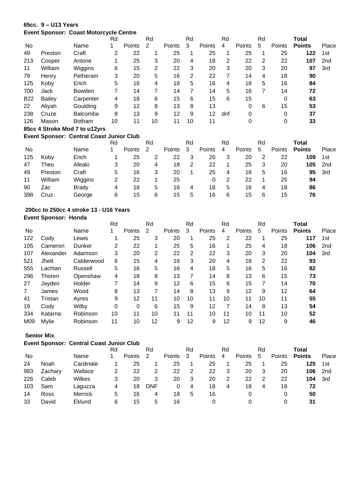## **65cc. 9 – U13 Years**

#### **Event Sponsor: Coast Motorcycle Centre**

|            |         |                                              | Rd |        | Rd |               | Rd |        | Rd  |               | Rd |        | Total         |                 |
|------------|---------|----------------------------------------------|----|--------|----|---------------|----|--------|-----|---------------|----|--------|---------------|-----------------|
| No.        |         | Name                                         |    | Points | 2  | <b>Points</b> | 3  | Points | 4   | <b>Points</b> | 5  | Points | <b>Points</b> | Place           |
| 49         | Preston | Craft                                        | 2  | 22     |    | 25            | 1  | 25     |     | 25            |    | 25     | 122           | 1st             |
| 213        | Cooper  | Antone                                       |    | 25     | 3  | 20            | 4  | 18     | 2   | 22            | 2  | 22     | 107           | 2 <sub>nd</sub> |
| 11         | William | Wiggins                                      | 6  | 15     | 2  | 22            | 3  | 20     | 3   | 20            | 3  | 20     | 97            | 3rd             |
| 79         | Henry   | Petheram                                     | 3  | 20     | 5  | 16            | 2  | 22     |     | 14            | 4  | 18     | 90            |                 |
| 125        | Koby    | Erich                                        | 5  | 16     | 4  | 18            | 5  | 16     | 4   | 18            | 5  | 16     | 84            |                 |
| 700        | Jack    | <b>Bowden</b>                                | 7  | 14     | 7  | 14            |    | 14     | 5   | 16            | 7  | 14     | 72            |                 |
| <b>B22</b> | Bailey  | Carpenter                                    | 4  | 18     | 6  | 15            | 6  | 15     | 6   | 15            |    | 0      | 63            |                 |
| 22         | Aliyah  | Goulding                                     | 9  | 12     | 8  | 13            | 8  | 13     |     | 0             | 6  | 15     | 53            |                 |
| 238        | Cruze   | <b>Balcombe</b>                              | 8  | 13     | 9  | 12            | 9  | 12     | dnf | 0             |    | 0      | 37            |                 |
| 126        | Mason   | <b>Botham</b>                                | 10 | 11     | 10 | 11            | 10 | 11     |     | 0             |    | 0      | 33            |                 |
|            |         | $OEn = A.$ Charles Med 7 to $14.0 \cdot \mu$ |    |        |    |               |    |        |     |               |    |        |               |                 |

## **85cc 4 Stroke Mod 7 to u12yrs**

## **Event Sponsor: Central Coast Junior Club**

|     |         |              | Rd |        | Rd |        | Rd |        | Rd |               | Rd |        | Total         |       |
|-----|---------|--------------|----|--------|----|--------|----|--------|----|---------------|----|--------|---------------|-------|
| No  |         | Name         |    | Points | 2  | Points | -3 | Points | 4  | <b>Points</b> | 5  | Points | <b>Points</b> | Place |
| 125 | Koby    | Erich        |    | 25     |    | 22     | 3  | 20     | 3  | 20            |    | 22     | 109           | 1st   |
| 47  | Theo    | Afeaki       | 3  | 20     | 4  | 18     | 2  | 22     |    | 25            | 3  | 20     | 105           | 2nd   |
| 49  | Preston | Craft        | 5  | 16     | 3  | 20     |    | 25     | 4  | 18            | 5  | 16     | 95            | 3rd   |
| 11  | William | Wiggins      |    | 22     |    | 25     |    | 0      |    | 22            |    | 25     | 94            |       |
| 90  | Zac     | <b>Brady</b> | 4  | 18     | 5  | 16     | 4  | 18     | 5  | 16            |    | 18     | 86            |       |
| 398 | Cruz    | George       | 6  | 15     | 6  | 15     | 5  | 16     | 6  | 15            | 6  | 15     | 76            |       |

## **200cc to 250cc 4 stroke 13 - U16 Years**

## **Event Sponsor: Honda**

|     |           |            | Rd |        | Rd |               | Rd             |        | Rd |               | Rd |        | Total         |                 |
|-----|-----------|------------|----|--------|----|---------------|----------------|--------|----|---------------|----|--------|---------------|-----------------|
| No  |           | Name       |    | Points | 2  | <b>Points</b> | 3              | Points | 4  | <b>Points</b> | 5  | Points | <b>Points</b> | Place           |
| 122 | Cody      | Lewis      |    | 25     | 3  | 20            | 1              | 25     | 2  | 22            |    | 25     | 117           | 1st             |
| 105 | Cameron   | Dunker     | 2  | 22     |    | 25            | 5              | 16     |    | 25            | 4  | 18     | 106           | 2 <sub>nd</sub> |
| 107 | Alexander | Adamson    | 3  | 20     | 2  | 22            | $\overline{2}$ | 22     | 3  | 20            | 3  | 20     | 104           | 3rd             |
| 521 | Jhett     | Calderwood | 6  | 15     | 4  | 18            | 3              | 20     | 4  | 18            | 2  | 22     | 93            |                 |
| 555 | Lachlan   | Russell    | 5  | 16     | 5  | 16            | 4              | 18     | 5  | 16            | 5  | 16     | 82            |                 |
| 296 | Thoren    | Openshaw   | 4  | 18     | 8  | 13            | 7              | 14     | 8  | 13            | 6  | 15     | 73            |                 |
| 27  | Jayden    | Holder     |    | 14     | 9  | 12            | 6              | 15     | 6  | 15            | 7  | 14     | 70            |                 |
| 7   | James     | Wood       | 8  | 13     | 7  | 14            | 8              | 13     | 9  | 12            | 9  | 12     | 64            |                 |
| 41  | Tristan   | Avres      | 9  | 12     | 11 | 10            | 10             | 11     | 10 | 11            | 10 | 11     | 55            |                 |
| 19  | Cody      | Wilby      | 0  | 0      | 6  | 15            | 9              | 12     | 7  | 14            | 8  | 13     | 54            |                 |
| 334 | Katarna   | Robinson   | 10 | 11     | 10 | 11            | 11             | 10     | 11 | 10            | 11 | 10     | 52            |                 |
| M09 | Mylie     | Robinson   | 11 | 10     | 12 | 9             | 12             | 9      | 12 | 9             | 12 | 9      | 46            |                 |

#### **Senior Mix**

**Event Sponsor: Central Coast Junior Club** 

|     |         |                | Rd |               | Rd         |        | Rd |               | Rd |               | Rd |        | Total         |       |
|-----|---------|----------------|----|---------------|------------|--------|----|---------------|----|---------------|----|--------|---------------|-------|
| No  |         | Name           |    | <b>Points</b> | 2          | Points | -3 | <b>Points</b> | 4  | <b>Points</b> | 5  | Points | <b>Points</b> | Place |
| 24  | Noah    | Cardinale      |    | 25            |            | 25     |    | 25            |    | 25            |    | 25     | 125           | 1st   |
| 983 | Zachary | Wallace        |    | 22            | 2          | 22     | 2  | 22            | 3  | 20            | 3  | 20     | 106           | 2nd   |
| 226 | Caleb   | Wilkes         | 3  | 20            | 3          | 20     | 3  | 20            | 2  | 22            |    | 22     | 104           | 3rd   |
| 103 | Sam     | Laguzza        | 4  | 18            | <b>DNF</b> |        | 4  | 18            | 4  | 18            | 4  | 18     | 72            |       |
| 14  | Ross    | <b>Merrick</b> | 5. | 16            | 4          | 18     | 5  | 16            |    |               |    | 0      | 50            |       |
| 33  | David   | Eklund         | 6  | 15            | 5          | 16     |    |               |    |               |    | 0      | 31            |       |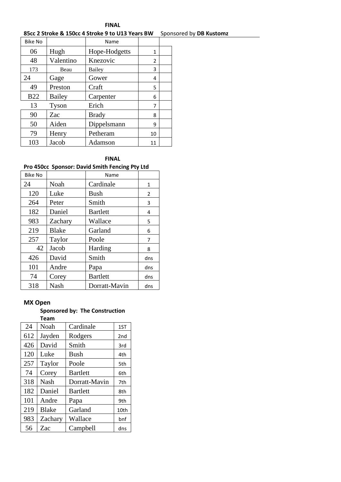## **FINAL 85cc 2 Stroke & 150cc 4 Stroke 9 to U13 Years BW** Sponsored by **DB Kustomz**

| <b>Bike No</b> |           | Name          |    |  |
|----------------|-----------|---------------|----|--|
| 06             | Hugh      | Hope-Hodgetts | 1  |  |
| 48             | Valentino | Knezovic      | 2  |  |
| 173            | Beau      | Bailey        | 3  |  |
| 24             | Gage      | Gower         | 4  |  |
| 49             | Preston   | Craft         | 5  |  |
| <b>B22</b>     | Bailey    | Carpenter     | 6  |  |
| 13             | Tyson     | Erich         | 7  |  |
| 90             | Zac       | <b>Brady</b>  | 8  |  |
| 50             | Aiden     | Dippelsmann   | 9  |  |
| 79             | Henry     | Petheram      | 10 |  |
| 103            | Jacob     | Adamson       | 11 |  |

### **FINAL**

## **Pro 450cc Sponsor: David Smith Fencing Pty Ltd**

| <b>Bike No</b> |              | Name            |              |
|----------------|--------------|-----------------|--------------|
| 24             | Noah         | Cardinale       | $\mathbf{1}$ |
| 120            | Luke         | <b>Bush</b>     | 2            |
| 264            | Peter        | Smith           | 3            |
| 182            | Daniel       | <b>Bartlett</b> | 4            |
| 983            | Zachary      | Wallace         | 5            |
| 219            | <b>Blake</b> | Garland         | 6            |
| 257            | Taylor       | Poole           | 7            |
| 42             | Jacob        | Harding         | 8            |
| 426            | David        | Smith           | dns          |
| 101            | Andre        | Papa            | dns          |
| 74             | Corey        | <b>Bartlett</b> | dns          |
| 318            | Nash         | Dorratt-Mavin   | dns          |

## **MX Open**

#### **Sponsored by: The Construction Team**

| 24  | Noah         | Cardinale       | 1ST             |
|-----|--------------|-----------------|-----------------|
| 612 | Jayden       | Rodgers         | 2 <sub>nd</sub> |
| 426 | David        | Smith           | 3rd             |
| 120 | Luke         | <b>Bush</b>     | 4th             |
| 257 | Taylor       | Poole           | 5th             |
| 74  | Corey        | <b>Bartlett</b> | 6th             |
| 318 | <b>Nash</b>  | Dorratt-Mavin   | 7th             |
| 182 | Daniel       | <b>Bartlett</b> | 8th             |
| 101 | Andre        | Papa            | 9th             |
| 219 | <b>Blake</b> | Garland         | 10th            |
| 983 | Zachary      | Wallace         | bnf             |
| 56  | Zac          | Campbell        | dns             |